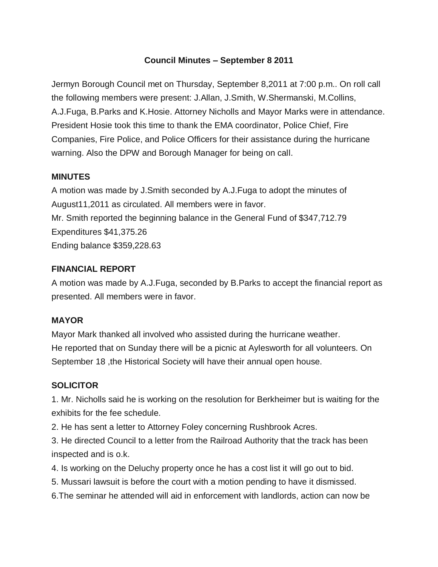### **Council Minutes – September 8 2011**

Jermyn Borough Council met on Thursday, September 8,2011 at 7:00 p.m.. On roll call the following members were present: J.Allan, J.Smith, W.Shermanski, M.Collins, A.J.Fuga, B.Parks and K.Hosie. Attorney Nicholls and Mayor Marks were in attendance. President Hosie took this time to thank the EMA coordinator, Police Chief, Fire Companies, Fire Police, and Police Officers for their assistance during the hurricane warning. Also the DPW and Borough Manager for being on call.

#### **MINUTES**

A motion was made by J.Smith seconded by A.J.Fuga to adopt the minutes of August11,2011 as circulated. All members were in favor. Mr. Smith reported the beginning balance in the General Fund of \$347,712.79 Expenditures \$41,375.26 Ending balance \$359,228.63

#### **FINANCIAL REPORT**

A motion was made by A.J.Fuga, seconded by B.Parks to accept the financial report as presented. All members were in favor.

#### **MAYOR**

Mayor Mark thanked all involved who assisted during the hurricane weather. He reported that on Sunday there will be a picnic at Aylesworth for all volunteers. On September 18, the Historical Society will have their annual open house.

### **SOLICITOR**

1. Mr. Nicholls said he is working on the resolution for Berkheimer but is waiting for the exhibits for the fee schedule.

2. He has sent a letter to Attorney Foley concerning Rushbrook Acres.

3. He directed Council to a letter from the Railroad Authority that the track has been inspected and is o.k.

- 4. Is working on the Deluchy property once he has a cost list it will go out to bid.
- 5. Mussari lawsuit is before the court with a motion pending to have it dismissed.
- 6.The seminar he attended will aid in enforcement with landlords, action can now be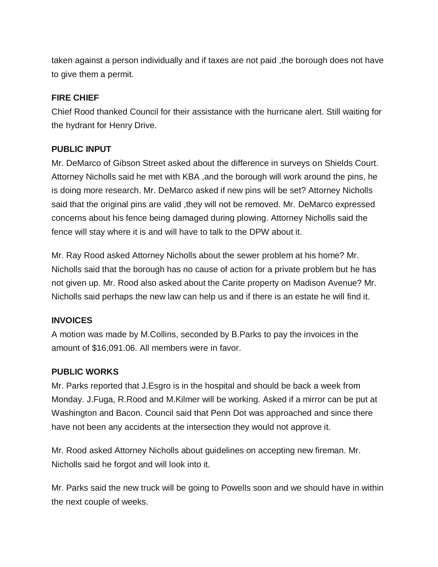taken against a person individually and if taxes are not paid ,the borough does not have to give them a permit.

### **FIRE CHIEF**

Chief Rood thanked Council for their assistance with the hurricane alert. Still waiting for the hydrant for Henry Drive.

# **PUBLIC INPUT**

Mr. DeMarco of Gibson Street asked about the difference in surveys on Shields Court. Attorney Nicholls said he met with KBA ,and the borough will work around the pins, he is doing more research. Mr. DeMarco asked if new pins will be set? Attorney Nicholls said that the original pins are valid, they will not be removed. Mr. DeMarco expressed concerns about his fence being damaged during plowing. Attorney Nicholls said the fence will stay where it is and will have to talk to the DPW about it.

Mr. Ray Rood asked Attorney Nicholls about the sewer problem at his home? Mr. Nicholls said that the borough has no cause of action for a private problem but he has not given up. Mr. Rood also asked about the Carite property on Madison Avenue? Mr. Nicholls said perhaps the new law can help us and if there is an estate he will find it.

### **INVOICES**

A motion was made by M.Collins, seconded by B.Parks to pay the invoices in the amount of \$16,091.06. All members were in favor.

### **PUBLIC WORKS**

Mr. Parks reported that J.Esgro is in the hospital and should be back a week from Monday. J.Fuga, R.Rood and M.Kilmer will be working. Asked if a mirror can be put at Washington and Bacon. Council said that Penn Dot was approached and since there have not been any accidents at the intersection they would not approve it.

Mr. Rood asked Attorney Nicholls about guidelines on accepting new fireman. Mr. Nicholls said he forgot and will look into it.

Mr. Parks said the new truck will be going to Powells soon and we should have in within the next couple of weeks.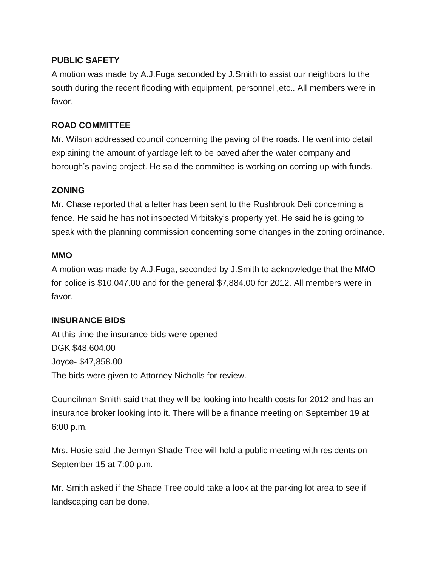# **PUBLIC SAFETY**

A motion was made by A.J.Fuga seconded by J.Smith to assist our neighbors to the south during the recent flooding with equipment, personnel ,etc.. All members were in favor.

# **ROAD COMMITTEE**

Mr. Wilson addressed council concerning the paving of the roads. He went into detail explaining the amount of yardage left to be paved after the water company and borough's paving project. He said the committee is working on coming up with funds.

# **ZONING**

Mr. Chase reported that a letter has been sent to the Rushbrook Deli concerning a fence. He said he has not inspected Virbitsky's property yet. He said he is going to speak with the planning commission concerning some changes in the zoning ordinance.

### **MMO**

A motion was made by A.J.Fuga, seconded by J.Smith to acknowledge that the MMO for police is \$10,047.00 and for the general \$7,884.00 for 2012. All members were in favor.

### **INSURANCE BIDS**

At this time the insurance bids were opened DGK \$48,604.00 Joyce- \$47,858.00 The bids were given to Attorney Nicholls for review.

Councilman Smith said that they will be looking into health costs for 2012 and has an insurance broker looking into it. There will be a finance meeting on September 19 at 6:00 p.m.

Mrs. Hosie said the Jermyn Shade Tree will hold a public meeting with residents on September 15 at 7:00 p.m.

Mr. Smith asked if the Shade Tree could take a look at the parking lot area to see if landscaping can be done.